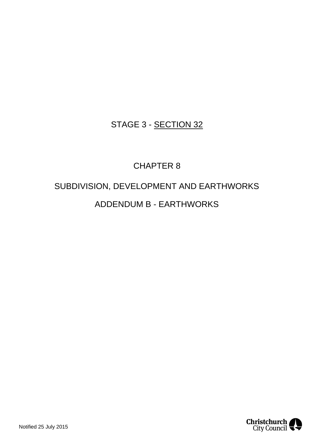# STAGE 3 - SECTION 32

# CHAPTER 8

# SUBDIVISION, DEVELOPMENT AND EARTHWORKS ADDENDUM B - EARTHWORKS

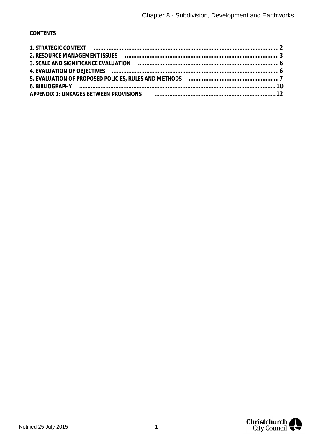# **CONTENTS**

| 4. EVALUATION OF OBJECTIVES (and the contract of the contract of the contract of the contract of the contract o |  |
|-----------------------------------------------------------------------------------------------------------------|--|
|                                                                                                                 |  |
| 6. BIBLIOGRAPHY (al. 10)                                                                                        |  |
| APPENDIX 1: LINKAGES BETWEEN PROVISIONS FINDING TELEVISIONS APPENDIX 1: LINKAGES BETWEEN PROVISIONS             |  |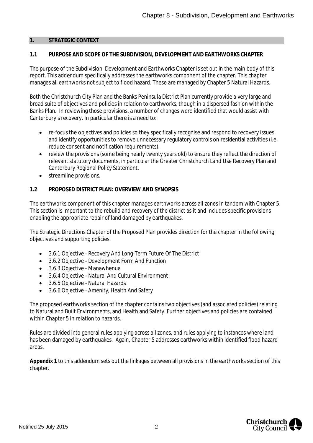#### <span id="page-2-1"></span><span id="page-2-0"></span>**1. STRATEGIC CONTEXT**

## **1.1 PURPOSE AND SCOPE OF THE SUBDIVISION, DEVELOPMENT AND EARTHWORKS CHAPTER**

The purpose of the Subdivision, Development and Earthworks Chapter is set out in the main body of this report. This addendum specifically addresses the earthworks component of the chapter. This chapter manages all earthworks not subject to flood hazard. These are managed by Chapter 5 Natural Hazards.

Both the Christchurch City Plan and the Banks Peninsula District Plan currently provide a very large and broad suite of objectives and policies in relation to earthworks, though in a dispersed fashion within the Banks Plan. In reviewing those provisions, a number of changes were identified that would assist with Canterbury's recovery. In particular there is a need to:

- · re-focus the objectives and policies so they specifically recognise and respond to recovery issues and identify opportunities to remove unnecessary regulatory controls on residential activities (i.e. reduce consent and notification requirements).
- · review the provisions (some being nearly twenty years old) to ensure they reflect the direction of relevant statutory documents, in particular the Greater Christchurch Land Use Recovery Plan and Canterbury Regional Policy Statement.
- · streamline provisions.

#### **1.2 PROPOSED DISTRICT PLAN: OVERVIEW AND SYNOPSIS**

The earthworks component of this chapter manages earthworks across all zones in tandem with Chapter 5. This section is important to the rebuild and recovery of the district as it and includes specific provisions enabling the appropriate repair of land damaged by earthquakes.

The Strategic Directions Chapter of the Proposed Plan provides direction for the chapter in the following objectives and supporting policies:

- · 3.6.1 Objective Recovery And Long-Term Future Of The District
- · 3.6.2 Objective Development Form And Function
- · 3.6.3 Objective Manawhenua
- · 3.6.4 Objective Natural And Cultural Environment
- · 3.6.5 Objective Natural Hazards
- · 3.6.6 Objective Amenity, Health And Safety

The proposed earthworks section of the chapter contains two objectives (and associated policies) relating to Natural and Built Environments, and Health and Safety. Further objectives and policies are contained within Chapter 5 in relation to hazards.

Rules are divided into general rules applying across all zones, and rules applying to instances where land has been damaged by earthquakes. Again, Chapter 5 addresses earthworks within identified flood hazard areas.

**Appendix 1** to this addendum sets out the linkages between all provisions in the earthworks section of this chapter.

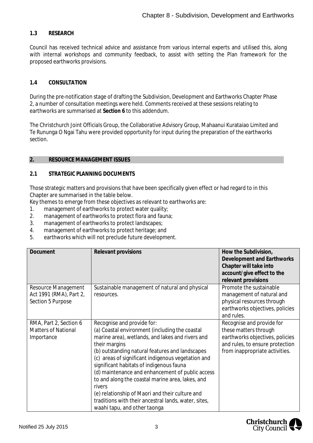## **1.3 RESEARCH**

Council has received technical advice and assistance from various internal experts and utilised this, along with internal workshops and community feedback, to assist with setting the Plan framework for the proposed earthworks provisions.

#### **1.4 CONSULTATION**

During the pre-notification stage of drafting the Subdivision, Development and Earthworks Chapter Phase 2, a number of consultation meetings were held. Comments received at these sessions relating to earthworks are summarised at **Section 6** to this addendum.

The Christchurch Joint Officials Group, the Collaborative Advisory Group, Mahaanui Kurataiao Limited and Te Rununga O Ngai Tahu were provided opportunity for input during the preparation of the earthworks section.

#### <span id="page-3-0"></span>**2. RESOURCE MANAGEMENT ISSUES**

#### **2.1 STRATEGIC PLANNING DOCUMENTS**

Those strategic matters and provisions that have been specifically given effect or had regard to in this Chapter are summarised in the table below.

Key themes to emerge from these objectives as relevant to earthworks are:

- 1. management of earthworks to protect water quality;
- 2. management of earthworks to protect flora and fauna;
- 3. management of earthworks to protect landscapes;
- 4. management of earthworks to protect heritage; and
- 5. earthworks which will not preclude future development.

| Document                                                            | Relevant provisions                                                                                                                                                                                                                                                                                                                                                                                                                                                                                                                                                 | How the Subdivision,<br>Development and Earthworks<br>Chapter will take into<br>account/give effect to the<br>relevant provisions                          |
|---------------------------------------------------------------------|---------------------------------------------------------------------------------------------------------------------------------------------------------------------------------------------------------------------------------------------------------------------------------------------------------------------------------------------------------------------------------------------------------------------------------------------------------------------------------------------------------------------------------------------------------------------|------------------------------------------------------------------------------------------------------------------------------------------------------------|
| Resource Management<br>Act 1991 (RMA), Part 2,<br>Section 5 Purpose | Sustainable management of natural and physical<br>resources.                                                                                                                                                                                                                                                                                                                                                                                                                                                                                                        | Promote the sustainable<br>management of natural and<br>physical resources through<br>earthworks objectives, policies<br>and rules.                        |
| RMA, Part 2, Section 6<br><b>Matters of National</b><br>Importance  | Recognise and provide for:<br>(a) Coastal environment (including the coastal<br>marine area), wetlands, and lakes and rivers and<br>their margins<br>(b) outstanding natural features and landscapes<br>(c) areas of significant indigenous vegetation and<br>significant habitats of indigenous fauna<br>(d) maintenance and enhancement of public access<br>to and along the coastal marine area, lakes, and<br>rivers<br>(e) relationship of Maori and their culture and<br>traditions with their ancestral lands, water, sites,<br>waahi tapu, and other taonga | Recognise and provide for<br>these matters through<br>earthworks objectives, policies<br>and rules, to ensure protection<br>from inappropriate activities. |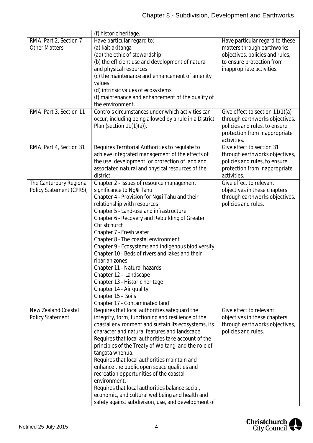|                                                       | (f) historic heritage.                                                                                                                                                                                                                                                                                                                                                                                                                                                                                                                                                                                                                                               |                                                                                                                                                            |
|-------------------------------------------------------|----------------------------------------------------------------------------------------------------------------------------------------------------------------------------------------------------------------------------------------------------------------------------------------------------------------------------------------------------------------------------------------------------------------------------------------------------------------------------------------------------------------------------------------------------------------------------------------------------------------------------------------------------------------------|------------------------------------------------------------------------------------------------------------------------------------------------------------|
| RMA, Part 2, Section 7<br><b>Other Matters</b>        | Have particular regard to:<br>(a) kaitiakitanga<br>(aa) the ethic of stewardship<br>(b) the efficient use and development of natural<br>and physical resources<br>(c) the maintenance and enhancement of amenity<br>values<br>(d) intrinsic values of ecosystems<br>(f) maintenance and enhancement of the quality of<br>the environment.                                                                                                                                                                                                                                                                                                                            | Have particular regard to these<br>matters through earthworks<br>objectives, policies and rules,<br>to ensure protection from<br>inappropriate activities. |
| RMA, Part 3, Section 11                               | Controls circumstances under which activities can<br>occur, including being allowed by a rule in a District<br>Plan (section $11(1)(a)$ ).                                                                                                                                                                                                                                                                                                                                                                                                                                                                                                                           | Give effect to section 11(1)(a)<br>through earthworks objectives,<br>policies and rules, to ensure<br>protection from inappropriate<br>activities.         |
| RMA, Part 4, Section 31                               | Requires Territorial Authorities to regulate to<br>achieve integrated management of the effects of<br>the use, development, or protection of land and<br>associated natural and physical resources of the<br>district.                                                                                                                                                                                                                                                                                                                                                                                                                                               | Give effect to section 31<br>through earthworks objectives,<br>policies and rules, to ensure<br>protection from inappropriate<br>activities.               |
| The Canterbury Regional<br>Policy Statement (CPRS);   | Chapter 2 - Issues of resource management<br>significance to Ngai Tahu<br>Chapter 4 - Provision for Ngai Tahu and their<br>relationship with resources<br>Chapter 5 - Land-use and infrastructure<br>Chapter 6 - Recovery and Rebuilding of Greater<br>Christchurch<br>Chapter 7 - Fresh water<br>Chapter 8 - The coastal environment<br>Chapter 9 - Ecosystems and indigenous biodiversity<br>Chapter 10 - Beds of rivers and lakes and their<br>riparian zones<br>Chapter 11 - Natural hazards<br>Chapter 12 - Landscape<br>Chapter 13 - Historic heritage<br>Chapter 14 - Air quality<br>Chapter 15 - Soils<br>Chapter 17 - Contaminated land                     | Give effect to relevant<br>objectives in these chapters<br>through earthworks objectives,<br>policies and rules.                                           |
| <b>New Zealand Coastal</b><br><b>Policy Statement</b> | Requires that local authorities safeguard the<br>integrity, form, functioning and resilience of the<br>coastal environment and sustain its ecosystems, its<br>character and natural features and landscape.<br>Requires that local authorities take account of the<br>principles of the Treaty of Waitangi and the role of<br>tangata whenua.<br>Requires that local authorities maintain and<br>enhance the public open space qualities and<br>recreation opportunities of the coastal<br>environment.<br>Requires that local authorities balance social,<br>economic, and cultural wellbeing and health and<br>safety against subdivision, use, and development of | Give effect to relevant<br>objectives in these chapters<br>through earthworks objectives,<br>policies and rules.                                           |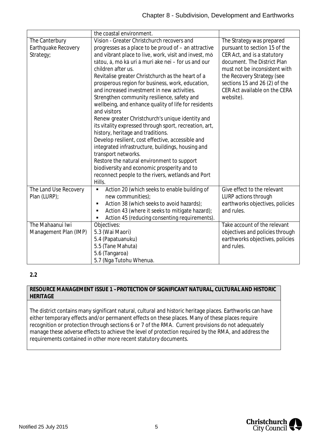|                       | the coastal environment.                               |                                 |  |  |
|-----------------------|--------------------------------------------------------|---------------------------------|--|--|
| The Canterbury        | Vision - Greater Christchurch recovers and             | The Strategy was prepared       |  |  |
| Earthquake Recovery   | progresses as a place to be proud of - an attractive   | pursuant to section 15 of the   |  |  |
| Strategy;             | and vibrant place to live, work, visit and invest, mo  | CER Act, and is a statutory     |  |  |
|                       | tātou, ā, mō kā uri ā muri ake nei - for us and our    | document. The District Plan     |  |  |
|                       | children after us.                                     | must not be inconsistent with   |  |  |
|                       | Revitalise greater Christchurch as the heart of a      | the Recovery Strategy (see      |  |  |
|                       | prosperous region for business, work, education,       | sections 15 and 26 (2) of the   |  |  |
|                       | and increased investment in new activities.            | CER Act available on the CERA   |  |  |
|                       | Strengthen community resilience, safety and            | website).                       |  |  |
|                       | wellbeing, and enhance quality of life for residents   |                                 |  |  |
|                       | and visitors                                           |                                 |  |  |
|                       | Renew greater Christchurch's unique identity and       |                                 |  |  |
|                       | its vitality expressed through sport, recreation, art, |                                 |  |  |
|                       | history, heritage and traditions.                      |                                 |  |  |
|                       | Develop resilient, cost effective, accessible and      |                                 |  |  |
|                       | integrated infrastructure, buildings, housing and      |                                 |  |  |
|                       | transport networks.                                    |                                 |  |  |
|                       | Restore the natural environment to support             |                                 |  |  |
|                       | biodiversity and economic prosperity and to            |                                 |  |  |
|                       | reconnect people to the rivers, wetlands and Port      |                                 |  |  |
|                       | Hills.                                                 |                                 |  |  |
| The Land Use Recovery | Action 20 (which seeks to enable building of<br>٠      | Give effect to the relevant     |  |  |
| Plan (LURP);          | new communities);                                      | LURP actions through            |  |  |
|                       | Action 38 (which seeks to avoid hazards);<br>٠         | earthworks objectives, policies |  |  |
|                       | Action 43 (where it seeks to mitigate hazard);<br>٠    | and rules.                      |  |  |
|                       | Action 45 (reducing consenting requirements).          |                                 |  |  |
| The Mahaanui Iwi      | Objectives:                                            | Take account of the relevant    |  |  |
| Management Plan (IMP) | 5.3 (Wai Maori)                                        | objectives and policies through |  |  |
|                       | 5.4 (Papatuanuku)                                      | earthworks objectives, policies |  |  |
|                       | 5.5 (Tane Mahuta)                                      | and rules.                      |  |  |
|                       | 5.6 (Tangaroa)                                         |                                 |  |  |
|                       | 5.7 (Nga Tutohu Whenua.                                |                                 |  |  |

## **2.2**

#### **RESOURCE MANAGEMENT ISSUE 1 –PROTECTION OF SIGNIFICANT NATURAL, CULTURAL AND HISTORIC HERITAGE**

The district contains many significant natural, cultural and historic heritage places. Earthworks can have either temporary effects and/or permanent effects on these places. Many of these places require recognition or protection through sections 6 or 7 of the RMA. Current provisions do not adequately manage these adverse effects to achieve the level of protection required by the RMA, and address the requirements contained in other more recent statutory documents.

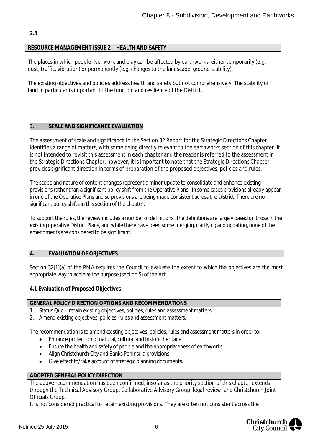# **2.3**

#### **RESOURCE MANAGEMENT ISSUE 2 – HEALTH AND SAFETY**

The places in which people live, work and play can be affected by earthworks, either temporarily (e.g. dust, traffic, vibration) or permanently (e.g. changes to the landscape, ground stability).

The existing objectives and policies address health and safety but not comprehensively. The stability of land in particular is important to the function and resilience of the District.

#### <span id="page-6-0"></span>**3. SCALE AND SIGNIFICANCE EVALUATION**

The assessment of scale and significance in the Section 32 Report for the Strategic Directions Chapter identifies a range of matters, with some being directly relevant to the earthworks section of this chapter. It is not intended to revisit this assessment in each chapter and the reader is referred to the assessment in the Strategic Directions Chapter, however, it is important to note that the Strategic Directions Chapter provides significant direction in terms of preparation of the proposed objectives, policies and rules.

The scope and nature of content changes represent a minor update to consolidate and enhance existing provisions rather than a significant policy shift from the Operative Plans. In some cases provisions already appear in one of the Operative Plans and so provisions are being made consistent across the District. There are no significant policy shifts in this section of the chapter.

To support the rules, the review includes a number of definitions. The definitions are largely based on those in the existing operative District Plans, and while there have been some merging, clarifying and updating, none of the amendments are considered to be significant.

#### <span id="page-6-1"></span>**4. EVALUATION OF OBJECTIVES**

Section 32(1)(a) of the RMA requires the Council to evaluate the extent to which the objectives are the most appropriate way to achieve the purpose (section 5) of the Act.

**4.1 Evaluation of Proposed Objectives**

#### **GENERAL POLICY DIRECTION OPTIONS AND RECOMMENDATIONS**

- 1. Status Quo retain existing objectives, policies, rules and assessment matters
- 2. Amend existing objectives, policies, rules and assessment matters.

The recommendation is to amend existing objectives, policies, rules and assessment matters in order to:

- Enhance protection of natural, cultural and historic heritage
- · Ensure the health and safety of people and the appropriateness of earthworks
- · Align Christchurch City and Banks Peninsula provisions
- · Give effect to/take account of strategic planning documents.

## **ADOPTED GENERAL POLICY DIRECTION**

The above recommendation has been confirmed, insofar as the priority section of this chapter extends, through the Technical Advisory Group, Collaborative Advisory Group, legal review, and Christchurch Joint Officials Group.

It is not considered practical to retain existing provisions. They are often not consistent across the

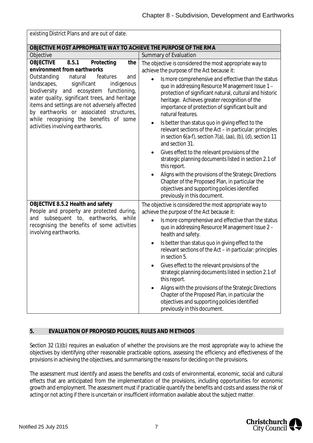| existing District Plans and are out of date.                                                                                                                                                                                                                                                                                                                       |                                                                                                                                                                                                                                                                                                                                                                                                                                                                                                                                                                                                                                                                                                           |  |  |  |  |
|--------------------------------------------------------------------------------------------------------------------------------------------------------------------------------------------------------------------------------------------------------------------------------------------------------------------------------------------------------------------|-----------------------------------------------------------------------------------------------------------------------------------------------------------------------------------------------------------------------------------------------------------------------------------------------------------------------------------------------------------------------------------------------------------------------------------------------------------------------------------------------------------------------------------------------------------------------------------------------------------------------------------------------------------------------------------------------------------|--|--|--|--|
| OBJECTIVE MOST APPROPRIATE WAY TO ACHIEVE THE PURPOSE OF THE RMA                                                                                                                                                                                                                                                                                                   |                                                                                                                                                                                                                                                                                                                                                                                                                                                                                                                                                                                                                                                                                                           |  |  |  |  |
| Objective                                                                                                                                                                                                                                                                                                                                                          | Summary of Evaluation                                                                                                                                                                                                                                                                                                                                                                                                                                                                                                                                                                                                                                                                                     |  |  |  |  |
| <b>OBJECTIVE</b><br>8.5.1<br>Protecting<br>the<br>environment from earthworks                                                                                                                                                                                                                                                                                      | The objective is considered the most appropriate way to<br>achieve the purpose of the Act because it:                                                                                                                                                                                                                                                                                                                                                                                                                                                                                                                                                                                                     |  |  |  |  |
| Outstanding<br>natural<br>features<br>and<br>landscapes,<br>significant<br>indigenous<br>biodiversity<br>and ecosystem<br>functioning,<br>water quality, significant trees, and heritage<br>items and settings are not adversely affected<br>by earthworks or associated structures,<br>while recognising the benefits of some<br>activities involving earthworks. | Is more comprehensive and effective than the status<br>quo in addressing Resource Management Issue 1 -<br>protection of significant natural, cultural and historic<br>heritage. Achieves greater recognition of the<br>importance of protection of significant built and<br>natural features.<br>Is better than status quo in giving effect to the<br>relevant sections of the Act - in particular: principles<br>in section $6(a-f)$ , section $7(a)$ , $(aa)$ , $(b)$ , $(d)$ , section 11<br>and section 31.<br>Gives effect to the relevant provisions of the<br>٠<br>strategic planning documents listed in section 2.1 of<br>this report.<br>Aligns with the provisions of the Strategic Directions |  |  |  |  |
|                                                                                                                                                                                                                                                                                                                                                                    | Chapter of the Proposed Plan, in particular the<br>objectives and supporting policies identified<br>previously in this document.                                                                                                                                                                                                                                                                                                                                                                                                                                                                                                                                                                          |  |  |  |  |
| OBJECTIVE 8.5.2 Health and safety<br>People and property are protected during,                                                                                                                                                                                                                                                                                     | The objective is considered the most appropriate way to<br>achieve the purpose of the Act because it:                                                                                                                                                                                                                                                                                                                                                                                                                                                                                                                                                                                                     |  |  |  |  |
| and subsequent to, earthworks,<br>while<br>recognising the benefits of some activities<br>involving earthworks.                                                                                                                                                                                                                                                    | Is more comprehensive and effective than the status<br>quo in addressing Resource Management Issue 2 -<br>health and safety.                                                                                                                                                                                                                                                                                                                                                                                                                                                                                                                                                                              |  |  |  |  |
|                                                                                                                                                                                                                                                                                                                                                                    | Is better than status quo in giving effect to the<br>relevant sections of the Act - in particular: principles<br>in section 5.                                                                                                                                                                                                                                                                                                                                                                                                                                                                                                                                                                            |  |  |  |  |
|                                                                                                                                                                                                                                                                                                                                                                    | Gives effect to the relevant provisions of the<br>strategic planning documents listed in section 2.1 of<br>this report.                                                                                                                                                                                                                                                                                                                                                                                                                                                                                                                                                                                   |  |  |  |  |
|                                                                                                                                                                                                                                                                                                                                                                    | Aligns with the provisions of the Strategic Directions<br>Chapter of the Proposed Plan, in particular the<br>objectives and supporting policies identified<br>previously in this document.                                                                                                                                                                                                                                                                                                                                                                                                                                                                                                                |  |  |  |  |

# <span id="page-7-0"></span>**5. EVALUATION OF PROPOSED POLICIES, RULES AND METHODS**

Section 32 (1)(b) requires an evaluation of whether the provisions are the most appropriate way to achieve the objectives by identifying other reasonable practicable options, assessing the efficiency and effectiveness of the provisions in achieving the objectives, and summarising the reasons for deciding on the provisions.

The assessment must identify and assess the benefits and costs of environmental, economic, social and cultural effects that are anticipated from the implementation of the provisions, including opportunities for economic growth and employment. The assessment must if practicable quantify the benefits and costs and assess the risk of acting or not acting if there is uncertain or insufficient information available about the subject matter.

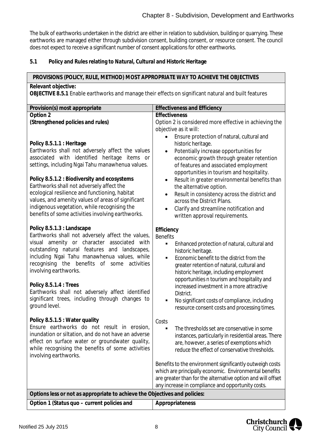The bulk of earthworks undertaken in the district are either in relation to subdivision, building or quarrying. These earthworks are managed either through subdivision consent, building consent, or resource consent. The council does not expect to receive a significant number of consent applications for other earthworks.

**5.1 Policy and Rules relating to Natural, Cultural and Historic Heritage**

# **PROVISIONS (POLICY, RULE, METHOD) MOST APPROPRIATE WAY TO ACHIEVE THE OBJECTIVES**

#### **Relevant objective:**

**OBJECTIVE 8.5.1** Enable earthworks and manage their effects on significant natural and built features

| Provision(s) most appropriate                                                                      | <b>Effectiveness and Efficiency</b>                                                               |
|----------------------------------------------------------------------------------------------------|---------------------------------------------------------------------------------------------------|
| Option 2                                                                                           | Effectiveness                                                                                     |
| (Strengthened policies and rules)                                                                  | Option 2 is considered more effective in achieving the                                            |
|                                                                                                    | objective as it will:                                                                             |
|                                                                                                    | Ensure protection of natural, cultural and                                                        |
| Policy 8.5.1.1 : Heritage<br>Earthworks shall not adversely affect the values                      | historic heritage.<br>Potentially increase opportunities for<br>$\bullet$                         |
| associated with identified heritage items or                                                       | economic growth through greater retention                                                         |
| settings, including Ngai Tahu manawhenua values.                                                   | of features and associated employment                                                             |
|                                                                                                    | opportunities in tourism and hospitality.                                                         |
| Policy 8.5.1.2 : Biodiversity and ecosystems                                                       | Result in greater environmental benefits than<br>$\bullet$                                        |
| Earthworks shall not adversely affect the                                                          | the alternative option.                                                                           |
| ecological resilience and functioning, habitat                                                     | Result in consistency across the district and<br>$\bullet$                                        |
| values, and amenity values of areas of significant<br>indigenous vegetation, while recognising the | across the District Plans.                                                                        |
| benefits of some activities involving earthworks.                                                  | Clarify and streamline notification and<br>$\bullet$<br>written approval requirements.            |
|                                                                                                    |                                                                                                   |
| Policy 8.5.1.3 : Landscape                                                                         | Efficiency                                                                                        |
| Earthworks shall not adversely affect the values,                                                  | <b>Benefits</b>                                                                                   |
| visual amenity or character associated with                                                        | ٠<br>Enhanced protection of natural, cultural and                                                 |
| outstanding natural features and landscapes,                                                       | historic heritage.                                                                                |
| including Ngai Tahu manawhenua values, while<br>recognising the benefits of some activities        | Economic benefit to the district from the<br>$\blacksquare$                                       |
| involving earthworks.                                                                              | greater retention of natural, cultural and                                                        |
|                                                                                                    | historic heritage, including employment<br>opportunities n tourism and hospitality and            |
| Policy 8.5.1.4 : Trees                                                                             | increased investment in a more attractive                                                         |
| Earthworks shall not adversely affect identified                                                   | District.                                                                                         |
| significant trees, including through changes to                                                    | No significant costs of compliance, including<br>٠                                                |
| ground level.                                                                                      | resource consent costs and processing times.                                                      |
|                                                                                                    |                                                                                                   |
| Policy 8.5.1.5 : Water quality<br>Ensure earthworks do not result in erosion,                      | Costs                                                                                             |
| inundation or siltation, and do not have an adverse                                                | The thresholds set are conservative in some<br>$\blacksquare$                                     |
| effect on surface water or groundwater quality,                                                    | instances, particularly in residential areas. There<br>are, however, a series of exemptions which |
| while recognising the benefits of some activities                                                  | reduce the effect of conservative thresholds.                                                     |
| involving earthworks.                                                                              |                                                                                                   |
|                                                                                                    | Benefits to the environment significantly outweigh costs                                          |
|                                                                                                    | which are principally economic. Environmental benefits                                            |
|                                                                                                    | are greater than for the alternative option and will offset                                       |
|                                                                                                    | any increase in compliance and opportunity costs.                                                 |
| Options less or not as appropriate to achieve the Objectives and policies:                         |                                                                                                   |
| Option 1 (Status quo - current policies and                                                        | Appropriateness                                                                                   |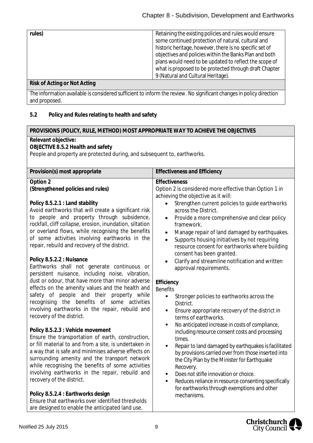| rules) | Retaining the existing policies and rules would ensure<br>some continued protection of natural, cultural and<br>historic heritage, however, there is no specific set of<br>objectives and policies within the Banks Plan and both |
|--------|-----------------------------------------------------------------------------------------------------------------------------------------------------------------------------------------------------------------------------------|
|        | plans would need to be updated to reflect the scope of                                                                                                                                                                            |
|        | what is proposed to be protected through draft Chapter                                                                                                                                                                            |
|        | 9 (Natural and Cultural Heritage).                                                                                                                                                                                                |
|        |                                                                                                                                                                                                                                   |

#### **Risk of Acting or Not Acting**

The information available is considered sufficient to inform the review. No significant changes in policy direction and proposed.

# **5.2 Policy and Rules relating to health and safety**

# **PROVISIONS (POLICY, RULE, METHOD) MOST APPROPRIATE WAY TO ACHIEVE THE OBJECTIVES**

#### **Relevant objective:**

# **OBJECTIVE 8.5.2 Health and safety**

People and property are protected during, and subsequent to, earthworks.

| Provision(s) most appropriate                                                                   | <b>Effectiveness and Efficiency</b>                          |
|-------------------------------------------------------------------------------------------------|--------------------------------------------------------------|
|                                                                                                 |                                                              |
| Option 2                                                                                        | Effectiveness                                                |
| (Strengthened policies and rules)                                                               | Option 2 is considered more effective than Option 1 in       |
|                                                                                                 | achieving the objective as it will:                          |
| Policy 8.5.2.1 : Land stability                                                                 | Strengthen current policies to guide earthworks              |
| Avoid earthworks that will create a significant risk                                            | across the District.                                         |
| to people and property through subsidence,                                                      | Provide a more comprehensive and clear policy<br>$\bullet$   |
| rockfall, cliff collapse, erosion, inundation, siltation                                        | framework.                                                   |
| or overland flows, while recognising the benefits                                               | Manage repair of land damaged by earthquakes.<br>$\bullet$   |
| of some activities involving earthworks in the<br>repair, rebuild and recovery of the district. | Supports housing initiatives by not requiring<br>$\bullet$   |
|                                                                                                 | resource consent for earthworks where building               |
| Policy 8.5.2.2 : Nuisance                                                                       | consent has been granted.                                    |
| Earthworks shall not generate continuous or                                                     | Clarify and streamline notification and written              |
| persistent nuisance, including noise, vibration,                                                | approval requirements.                                       |
| dust or odour, that have more than minor adverse                                                | Efficiency                                                   |
| effects on the amenity values and the health and                                                | <b>Benefits</b>                                              |
| safety of people and their property while                                                       | $\blacksquare$<br>Stronger policies to earthworks across the |
| recognising the benefits of some activities                                                     | District.                                                    |
| involving earthworks in the repair, rebuild and                                                 | Ensure appropriate recovery of the district in<br>Ξ          |
| recovery of the district.                                                                       | terms of earthworks.                                         |
|                                                                                                 | No anticipated increase in costs of compliance,<br>Ξ         |
| Policy 8.5.2.3 : Vehicle movement                                                               | including resource consent costs and processing              |
| Ensure the transportation of earth, construction,                                               | times.                                                       |
| or fill material to and from a site, is undertaken in                                           | Repair to land damaged by earthquakes is facilitated         |
| a way that is safe and minimises adverse effects on                                             | by provisions carried over from those inserted into          |
| surrounding amenity and the transport network                                                   | the City Plan by the Minister for Earthquake                 |
| while recognising the benefits of some activities                                               | Recovery.                                                    |
| involving earthworks in the repair, rebuild and                                                 | Does not stifle innovation or choice.<br>Ξ                   |
| recovery of the district.                                                                       | Reduces reliance in resource consenting specifically<br>Ξ    |
|                                                                                                 | for earthworks through exemptions and other                  |
| Policy 8.5.2.4 : Earthworks design<br>Ensure that earthworks over identified thresholds         | mechanisms.                                                  |
| are designed to enable the anticipated land use.                                                |                                                              |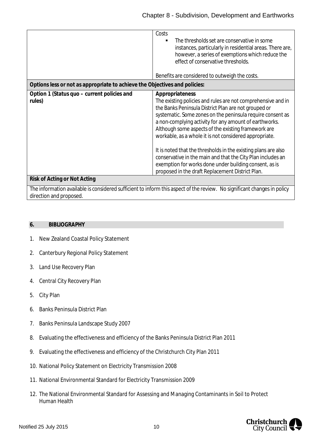|                                                                            | Costs<br>The thresholds set are conservative in some<br>instances, particularly in residential areas. There are,<br>however, a series of exemptions which reduce the<br>effect of conservative thresholds.<br>Benefits are considered to outweigh the costs.                                                                                                                                                                                                                                                                                                                                                                    |
|----------------------------------------------------------------------------|---------------------------------------------------------------------------------------------------------------------------------------------------------------------------------------------------------------------------------------------------------------------------------------------------------------------------------------------------------------------------------------------------------------------------------------------------------------------------------------------------------------------------------------------------------------------------------------------------------------------------------|
| Options less or not as appropriate to achieve the Objectives and policies: |                                                                                                                                                                                                                                                                                                                                                                                                                                                                                                                                                                                                                                 |
| Option 1 (Status quo - current policies and<br>rules)                      | Appropriateness<br>The existing policies and rules are not comprehensive and in<br>the Banks Peninsula District Plan are not grouped or<br>systematic. Some zones on the peninsula require consent as<br>a non-complying activity for any amount of earthworks.<br>Although some aspects of the existing framework are<br>workable, as a whole it is not considered appropriate.<br>It is noted that the thresholds in the existing plans are also<br>conservative in the main and that the City Plan includes an<br>exemption for works done under building consent, as is<br>proposed in the draft Replacement District Plan. |
| Risk of Acting or Not Acting                                               |                                                                                                                                                                                                                                                                                                                                                                                                                                                                                                                                                                                                                                 |
|                                                                            | The information available is considered sufficient to inform this aspect of the review. No significant changes in policy                                                                                                                                                                                                                                                                                                                                                                                                                                                                                                        |
| direction and proposed.                                                    |                                                                                                                                                                                                                                                                                                                                                                                                                                                                                                                                                                                                                                 |

#### **6. BIBLIOGRAPHY**

- 1. New Zealand Coastal Policy Statement
- 2. Canterbury Regional Policy Statement
- 3. Land Use Recovery Plan
- 4. Central City Recovery Plan
- 5. City Plan
- 6. Banks Peninsula District Plan
- 7. Banks Peninsula Landscape Study 2007
- 8. Evaluating the effectiveness and efficiency of the Banks Peninsula District Plan 2011
- 9. Evaluating the effectiveness and efficiency of the Christchurch City Plan 2011
- 10. National Policy Statement on Electricity Transmission 2008
- 11. National Environmental Standard for Electricity Transmission 2009
- 12. The National Environmental Standard for Assessing and Managing Contaminants in Soil to Protect Human Health

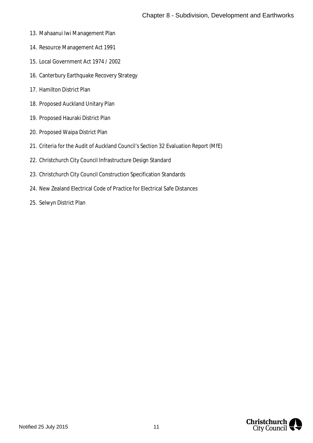- 13. Mahaanui Iwi Management Plan
- 14. Resource Management Act 1991
- 15. Local Government Act 1974 / 2002
- 16. Canterbury Earthquake Recovery Strategy
- 17. Hamilton District Plan
- 18. Proposed Auckland Unitary Plan
- 19. Proposed Hauraki District Plan
- 20. Proposed Waipa District Plan
- 21. Criteria for the Audit of Auckland Council's Section 32 Evaluation Report (MfE)
- 22. Christchurch City Council Infrastructure Design Standard
- 23. Christchurch City Council Construction Specification Standards
- 24. New Zealand Electrical Code of Practice for Electrical Safe Distances
- <span id="page-11-0"></span>25. Selwyn District Plan

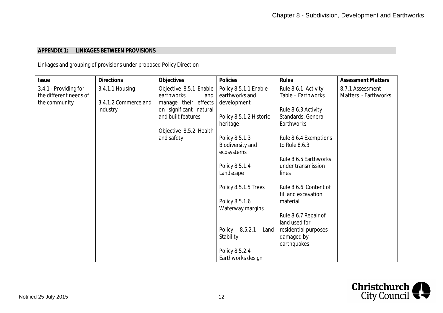## **APPENDIX 1: LINKAGES BETWEEN PROVISIONS**

Linkages and grouping of provisions under proposed Policy Direction

| <b>Issue</b>           | <b>Directions</b>    | Objectives             | Policies                       | Rules                     | <b>Assessment Matters</b> |
|------------------------|----------------------|------------------------|--------------------------------|---------------------------|---------------------------|
| 3.4.1 - Providing for  | 3.4.1.1 Housing      | Objective 8.5.1 Enable | Policy 8.5.1.1 Enable          | Rule 8.6.1 Activity       | 8.7.1 Assessment          |
| the different needs of |                      | earthworks<br>and      | earthworks and                 | Table - Earthworks        | Matters - Earthworks      |
| the community          | 3.4.1.2 Commerce and | manage their effects   | development                    |                           |                           |
|                        | industry             | on significant natural |                                | Rule 8.6.3 Activity       |                           |
|                        |                      | and built features     | Policy 8.5.1.2 Historic        | <b>Standards: General</b> |                           |
|                        |                      |                        | heritage                       | Earthworks                |                           |
|                        |                      | Objective 8.5.2 Health |                                |                           |                           |
|                        |                      | and safety             | Policy 8.5.1.3                 | Rule 8.6.4 Exemptions     |                           |
|                        |                      |                        | Biodiversity and<br>ecosystems | to Rule 8.6.3             |                           |
|                        |                      |                        |                                | Rule 8.6.5 Earthworks     |                           |
|                        |                      |                        | Policy 8.5.1.4                 | under transmission        |                           |
|                        |                      |                        | Landscape                      | lines                     |                           |
|                        |                      |                        |                                |                           |                           |
|                        |                      |                        | Policy 8.5.1.5 Trees           | Rule 8.6.6 Content of     |                           |
|                        |                      |                        |                                | fill and excavation       |                           |
|                        |                      |                        | Policy 8.5.1.6                 | material                  |                           |
|                        |                      |                        | Waterway margins               | Rule 8.6.7 Repair of      |                           |
|                        |                      |                        |                                | land used for             |                           |
|                        |                      |                        | Policy 8.5.2.1<br>Land         | residential purposes      |                           |
|                        |                      |                        | Stability                      | damaged by                |                           |
|                        |                      |                        |                                | earthquakes               |                           |
|                        |                      |                        | Policy 8.5.2.4                 |                           |                           |
|                        |                      |                        | Earthworks design              |                           |                           |

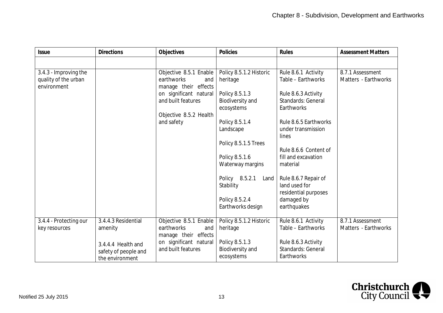| <b>Issue</b>           | <b>Directions</b>    | Objectives             | <b>Policies</b>             | Rules                 | <b>Assessment Matters</b> |
|------------------------|----------------------|------------------------|-----------------------------|-----------------------|---------------------------|
|                        |                      |                        |                             |                       |                           |
| 3.4.3 - Improving the  |                      | Objective 8.5.1 Enable | Policy 8.5.1.2 Historic     | Rule 8.6.1 Activity   | 8.7.1 Assessment          |
| quality of the urban   |                      | earthworks<br>and      | heritage                    | Table - Earthworks    | Matters - Earthworks      |
| environment            |                      | manage their effects   |                             |                       |                           |
|                        |                      | on significant natural | Policy 8.5.1.3              | Rule 8.6.3 Activity   |                           |
|                        |                      | and built features     | <b>Biodiversity and</b>     | Standards: General    |                           |
|                        |                      |                        | ecosystems                  | Earthworks            |                           |
|                        |                      | Objective 8.5.2 Health |                             | Rule 8.6.5 Earthworks |                           |
|                        |                      | and safety             | Policy 8.5.1.4<br>Landscape | under transmission    |                           |
|                        |                      |                        |                             | lines                 |                           |
|                        |                      |                        | Policy 8.5.1.5 Trees        |                       |                           |
|                        |                      |                        |                             | Rule 8.6.6 Content of |                           |
|                        |                      |                        | Policy 8.5.1.6              | fill and excavation   |                           |
|                        |                      |                        | Waterway margins            | material              |                           |
|                        |                      |                        |                             |                       |                           |
|                        |                      |                        | Policy 8.5.2.1<br>Land      | Rule 8.6.7 Repair of  |                           |
|                        |                      |                        | Stability                   | land used for         |                           |
|                        |                      |                        |                             | residential purposes  |                           |
|                        |                      |                        | Policy 8.5.2.4              | damaged by            |                           |
|                        |                      |                        | Earthworks design           | earthquakes           |                           |
| 3.4.4 - Protecting our | 3.4.4.3 Residential  | Objective 8.5.1 Enable | Policy 8.5.1.2 Historic     | Rule 8.6.1 Activity   | 8.7.1 Assessment          |
| key resources          | amenity              | earthworks<br>and      | heritage                    | Table - Earthworks    | Matters - Earthworks      |
|                        |                      | manage their effects   |                             |                       |                           |
|                        | 3.4.4.4 Health and   | on significant natural | Policy 8.5.1.3              | Rule 8.6.3 Activity   |                           |
|                        | safety of people and | and built features     | <b>Biodiversity and</b>     | Standards: General    |                           |
|                        | the environment      |                        | ecosystems                  | Earthworks            |                           |